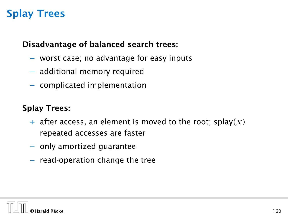#### Disadvantage of balanced search trees:

- − worst case; no advantage for easy inputs
- − additional memory required
- − complicated implementation

### Splay Trees:

- $+$  after access, an element is moved to the root; splay $(x)$ repeated accesses are faster
- − only amortized guarantee
- − read-operation change the tree

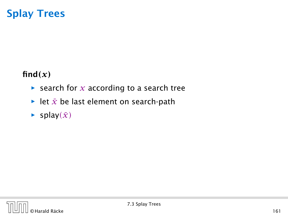### $find(x)$

- **▶ search for** *x* **according to a search tree**
- **►** let  $\bar{x}$  be last element on search-path
- $\blacktriangleright$  splay $(\bar{x})$

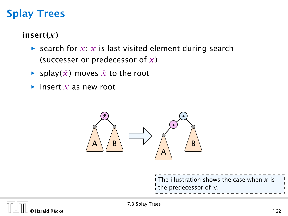### insert*(x)*

- **▶** search for  $x$ ;  $\bar{x}$  is last visited element during search (successer or predecessor of *x*)
- $\blacktriangleright$  splay $(\bar{x})$  moves  $\bar{x}$  to the root
- *ñ* insert *x* as new root



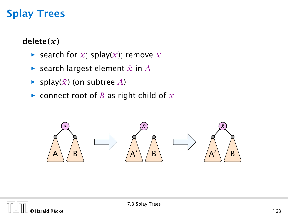### delete*(x)*

- $\blacktriangleright$  search for *x*; splay(*x*); remove *x*
- $\blacktriangleright$  search largest element  $\bar{x}$  in  $\bar{A}$
- $\blacktriangleright$  splay( $\bar{x}$ ) (on subtree *A*)
- $\triangleright$  connect root of *B* as right child of  $\bar{x}$



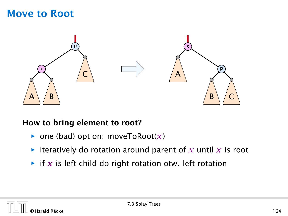### Move to Root



#### How to bring element to root?

- $\triangleright$  one (bad) option: moveToRoot(x)
- $\blacktriangleright$  iteratively do rotation around parent of x until x is root
- $\blacktriangleright$  if *x* is left child do right rotation otw. left rotation

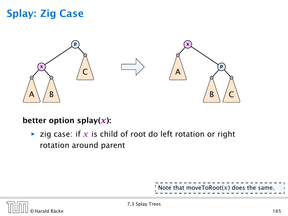## Splay: Zig Case



#### better option splay(*x*):

 $\triangleright$  zig case: if  $x$  is child of root do left rotation or right rotation around parent

Note that moveToRoot $(x)$  does the same.

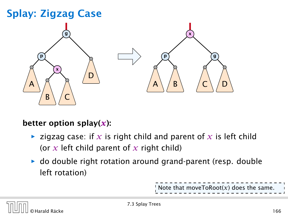# Splay: Zigzag Case



#### better option splay $(x)$ :

- $\triangleright$  zigzag case: if x is right child and parent of x is left child (or *x* left child parent of *x* right child)
- **►** do double right rotation around grand-parent (resp. double left rotation)

Note that moveToRoot $(x)$  does the same

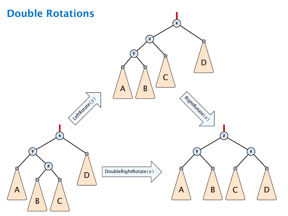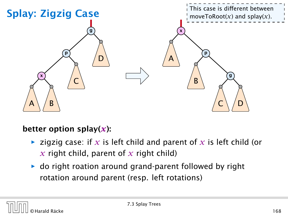

#### better option splay $(x)$ :

- $\triangleright$  zigzig case: if x is left child and parent of x is left child (or  $\overline{x}$  right child, parent of  $\overline{x}$  right child)
- ► do right roation around grand-parent followed by right rotation around parent (resp. left rotations)

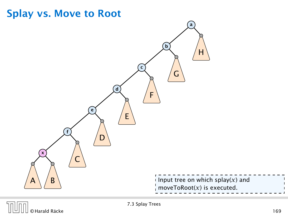

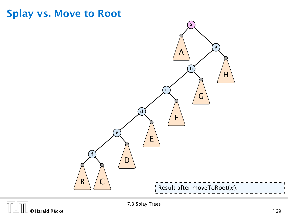### Splay vs. Move to Root



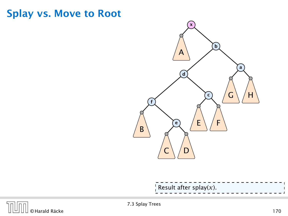### Splay vs. Move to Root



|  | Result after splay(x). |  |  |  |  |  |  |  |  |  |  |  |  |  |  |  |  |  |  |  |  |
|--|------------------------|--|--|--|--|--|--|--|--|--|--|--|--|--|--|--|--|--|--|--|--|
|  |                        |  |  |  |  |  |  |  |  |  |  |  |  |  |  |  |  |  |  |  |  |
|  |                        |  |  |  |  |  |  |  |  |  |  |  |  |  |  |  |  |  |  |  |  |

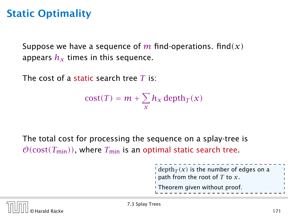## Static Optimality

Suppose we have a sequence of *m* find-operations. find*(x)* appears  $h<sub>x</sub>$  times in this sequence.

The cost of a static search tree *T* is:

$$
cost(T) = m + \sum_{x} h_x \operatorname{depth}_T(x)
$$

The total cost for processing the sequence on a splay-tree is  $\mathcal{O}(\text{cost}(T_{\text{min}}))$ , where  $T_{\text{min}}$  is an optimal static search tree.

> depth $_T(x)$  is the number of edges on a path from the root of *T* to *x*. Theorem given without proof.

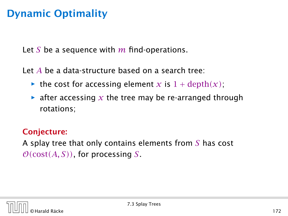## Dynamic Optimality

Let *S* be a sequence with *m* find-operations.

Let *A* be a data-structure based on a search tree:

- the cost for accessing element *x* is  $1 + \text{depth}(x)$ ;
- $\blacktriangleright$  after accessing x the tree may be re-arranged through rotations;

### Conjecture:

A splay tree that only contains elements from *S* has cost  $\mathcal{O}(\text{cost}(A, S))$ , for processing *S*.

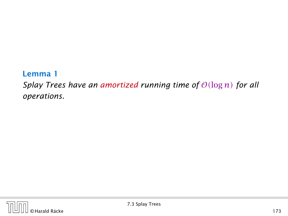#### Lemma 1

*Splay Trees have an amortized running time of*  $O(\log n)$  *for all operations.*

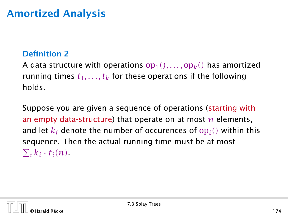## Amortized Analysis

#### Definition 2

A data structure with operations  $\operatorname{op}_1(),\ldots,\operatorname{op}_k()$  has amortized running times  $t_1, \ldots, t_k$  for these operations if the following holds.

Suppose you are given a sequence of operations (starting with an empty data-structure) that operate on at most *n* elements, and let  $k_i$  denote the number of occurences of  ${\rm op}_i()$  within this sequence. Then the actual running time must be at most  $\sum_{i} k_i \cdot t_i(n)$ .

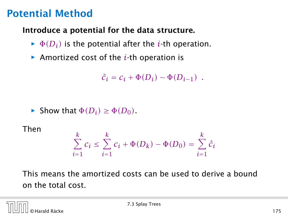## Potential Method

#### Introduce a potential for the data structure.

- $\blacktriangleright$   $\Phi(D_i)$  is the potential after the *i*-th operation.
- ▶ Amortized cost of the *i*-th operation is

$$
\hat{c}_i = c_i + \Phi(D_i) - \Phi(D_{i-1}) \enspace .
$$

 $\blacktriangleright$  Show that  $\Phi(D_i) \geq \Phi(D_0)$ .

Then

$$
\sum_{i=1}^{k} c_i \le \sum_{i=1}^{k} c_i + \Phi(D_k) - \Phi(D_0) = \sum_{i=1}^{k} \hat{c}_i
$$

This means the amortized costs can be used to derive a bound on the total cost.

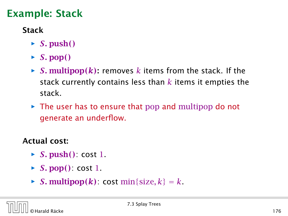# Example: Stack

### Stack

- $\blacktriangleright$  *S.* push()
- $\blacktriangleright$  *S.* pop()
- $\triangleright$  *S*. multipop( $k$ ): removes  $k$  items from the stack. If the stack currently contains less than *k* items it empties the stack.
- **►** The user has to ensure that pop and multipop do not generate an underflow.

### Actual cost:

- *ñ S.* push*()*: cost 1.
- $\triangleright$  *S.* pop(): cost 1.
- $\triangleright$  *S*. multipop $(k)$ : cost min{size,  $k$ } = *k*.

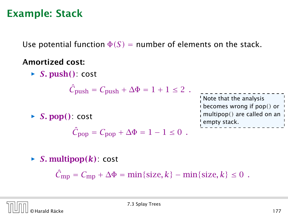### Example: Stack

Use potential function  $\Phi(S)$  = number of elements on the stack.

#### Amortized cost:

*ñ S.* push*()*: cost

 $\hat{C}_{\text{push}} = C_{\text{push}} + \Delta \Phi = 1 + 1 \leq 2$ .

 $\triangleright$  *S.* pop(): cost

$$
\hat{C}_{\text{pop}} = C_{\text{pop}} + \Delta \Phi = 1 - 1 \leq 0.
$$

Note that the analysis becomes wrong if pop*()* or multipop*()* are called on an empty stack.

 $\triangleright$  *S.* multipop $(k)$ : cost  $\hat{C}_{\text{mp}} = C_{\text{mp}} + \Delta \Phi = \min\{\text{size}, k\} - \min\{\text{size}, k\} \le 0$ .

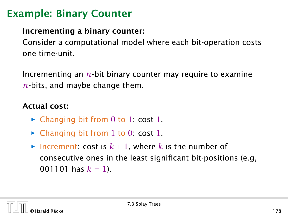# Example: Binary Counter

### Incrementing a binary counter:

Consider a computational model where each bit-operation costs one time-unit.

Incrementing an *n*-bit binary counter may require to examine *n*-bits, and maybe change them.

### Actual cost:

- **►** Changing bit from 0 to 1: cost 1.
- **►** Changing bit from 1 to 0: cost 1.
- $\blacktriangleright$  Increment: cost is  $k + 1$ , where k is the number of consecutive ones in the least significant bit-positions (e.g, 001101 has  $k = 1$ ).

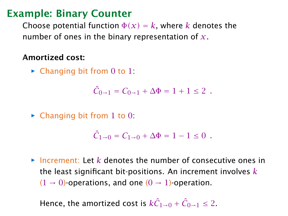### Example: Binary Counter

Choose potential function  $\Phi(x) = k$ , where *k* denotes the number of ones in the binary representation of *x*.

#### Amortized cost:

► Changing bit from 0 to 1:

$$
\hat{C}_{0\to 1} = C_{0\to 1} + \Delta \Phi = 1 + 1 \le 2.
$$

► Changing bit from 1 to 0:

$$
\hat{C}_{1\to 0} = C_{1\to 0} + \Delta \Phi = 1 - 1 \le 0.
$$

*ñ* Increment: Let *k* denotes the number of consecutive ones in the least significant bit-positions. An increment involves *k*  $(1 \rightarrow 0)$ -operations, and one  $(0 \rightarrow 1)$ -operation.

Hence, the amortized cost is  $k\hat{C}_{1\rightarrow 0} + \hat{C}_{0\rightarrow 1} \le 2$ .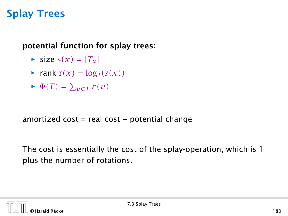### potential function for splay trees:

- $\blacktriangleright$  size  $s(x) = |T_x|$
- $\blacktriangleright$  rank  $r(x) = \log_2(s(x))$
- $\blacktriangleright$   $\Phi(T) = \sum_{v \in T} r(v)$

amortized  $cost = real cost + potential change$ 

The cost is essentially the cost of the splay-operation, which is 1 plus the number of rotations.

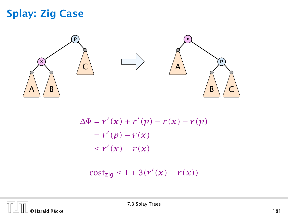## Splay: Zig Case



$$
\Delta \Phi = r'(x) + r'(p) - r(x) - r(p)
$$

$$
= r'(p) - r(x)
$$

$$
\leq r'(x) - r(x)
$$

 $\text{cost}_{\text{zig}} \leq 1 + 3(r'(x) - r(x))$ 

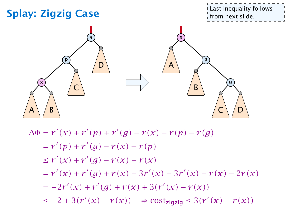

$$
\Delta \Phi = r'(x) + r'(p) + r'(g) - r(x) - r(p) - r(g)
$$
  
=  $r'(p) + r'(g) - r(x) - r(p)$   
 $\leq r'(x) + r'(g) - r(x) - r(x)$   
=  $r'(x) + r'(g) + r(x) - 3r'(x) + 3r'(x) - r(x) - 2r(x)$   
=  $-2r'(x) + r'(g) + r(x) + 3(r'(x) - r(x))$   
 $\leq -2 + 3(r'(x) - r(x)) \Rightarrow cost_{zigzig} \leq 3(r'(x) - r(x))$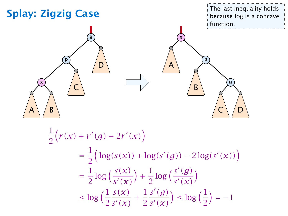

$$
\frac{1}{2} (r(x) + r'(g) - 2r'(x))
$$
\n
$$
= \frac{1}{2} \Big( \log(s(x)) + \log(s'(g)) - 2 \log(s'(x)) \Big)
$$
\n
$$
= \frac{1}{2} \log \Big( \frac{s(x)}{s'(x)} \Big) + \frac{1}{2} \log \Big( \frac{s'(g)}{s'(x)} \Big)
$$
\n
$$
\leq \log \Big( \frac{1}{2} \frac{s(x)}{s'(x)} + \frac{1}{2} \frac{s'(g)}{s'(x)} \Big) \leq \log \Big( \frac{1}{2} \Big) = -1
$$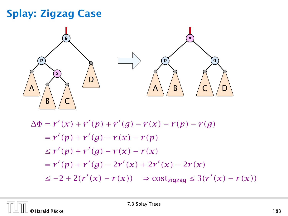# Splay: Zigzag Case



$$
\Delta \Phi = r'(x) + r'(p) + r'(g) - r(x) - r(p) - r(g)
$$
  
=  $r'(p) + r'(g) - r(x) - r(p)$   
 $\leq r'(p) + r'(g) - r(x) - r(x)$   
=  $r'(p) + r'(g) - 2r'(x) + 2r'(x) - 2r(x)$   
 $\leq -2 + 2(r'(x) - r(x)) \Rightarrow \text{cost}_{\text{zigzag}} \leq 3(r'(x) - r(x))$ 

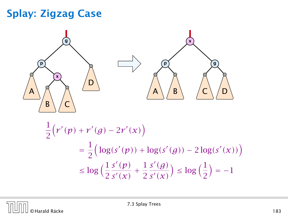# Splay: Zigzag Case



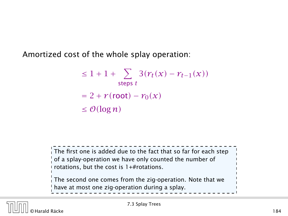Amortized cost of the whole splay operation:

$$
\leq 1 + 1 + \sum_{\text{steps } t} 3(r_t(x) - r_{t-1}(x))
$$

$$
= 2 + r(\text{root}) - r_0(x)
$$

$$
\leq \mathcal{O}(\log n)
$$

The first one is added due to the fact that so far for each step of a splay-operation we have only counted the number of rotations, but the cost is 1+#rotations. The second one comes from the zig-operation. Note that we have at most one zig-operation during a splay.